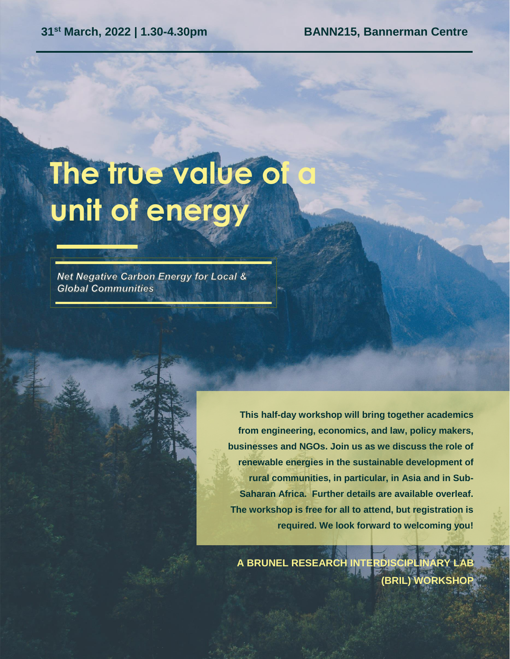#### **31st March, 2022 | 1.30-4.30pm BANN215, Bannerman Centre**

# **The true value of a unit of energy**

Net Negative Carbon Energy for Local & **Global Communities** 

> **This half-day workshop will bring together academics from engineering, economics, and law, policy makers, businesses and NGOs. Join us as we discuss the role of renewable energies in the sustainable development of rural communities, in particular, in Asia and in Sub-Saharan Africa. Further details are available overleaf. The workshop is free for all to attend, but registration is required. We look forward to welcoming you!**

**A BRUNEL RESEARCH INTERDISCIPLIN (BRIL) WORKSHOP**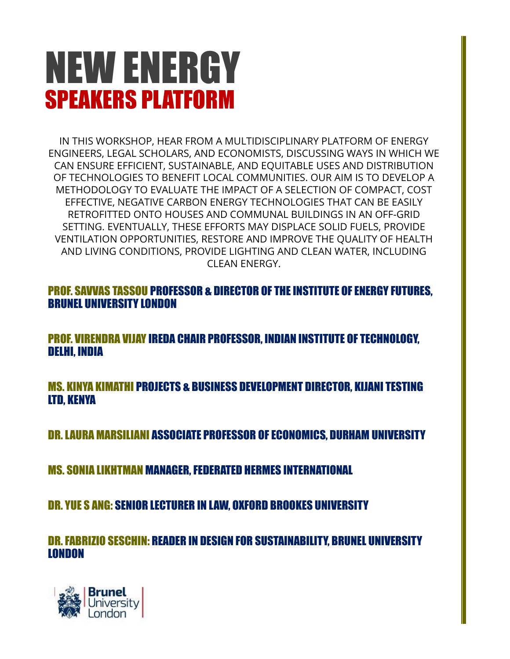# NEW ENERGY SPEAKERS PLATFORM

IN THIS WORKSHOP, HEAR FROM A MULTIDISCIPLINARY PLATFORM OF ENERGY ENGINEERS, LEGAL SCHOLARS, AND ECONOMISTS, DISCUSSING WAYS IN WHICH WE CAN ENSURE EFFICIENT, SUSTAINABLE, AND EQUITABLE USES AND DISTRIBUTION OF TECHNOLOGIES TO BENEFIT LOCAL COMMUNITIES. OUR AIM IS TO DEVELOP A METHODOLOGY TO EVALUATE THE IMPACT OF A SELECTION OF COMPACT, COST EFFECTIVE, NEGATIVE CARBON ENERGY TECHNOLOGIES THAT CAN BE EASILY RETROFITTED ONTO HOUSES AND COMMUNAL BUILDINGS IN AN OFF-GRID SETTING. EVENTUALLY, THESE EFFORTS MAY DISPLACE SOLID FUELS, PROVIDE VENTILATION OPPORTUNITIES, RESTORE AND IMPROVE THE QUALITY OF HEALTH AND LIVING CONDITIONS, PROVIDE LIGHTING AND CLEAN WATER, INCLUDING CLEAN ENERGY.

PROF. SAVVAS TASSOU PROFESSOR & DIRECTOR OF THE INSTITUTE OF ENERGY FUTURES, BRUNEL UNIVERSITY LONDON

PROF. VIRENDRA VIJAY IREDA CHAIR PROFESSOR, INDIAN INSTITUTE OF TECHNOLOGY, DELHI, INDIA

MS. KINYA KIMATHI PROJECTS & BUSINESS DEVELOPMENT DIRECTOR, KIJANI TESTING LTD, KENYA

DR. LAURA MARSILIANI ASSOCIATE PROFESSOR OF ECONOMICS, DURHAM UNIVERSITY

MS. SONIA LIKHTMAN MANAGER, FEDERATED HERMES INTERNATIONAL

DR. YUE S ANG: SENIOR LECTURER IN LAW, OXFORD BROOKES UNIVERSITY

DR. FABRIZIO SESCHIN: READER IN DESIGN FOR SUSTAINABILITY, BRUNEL UNIVERSITY LONDON